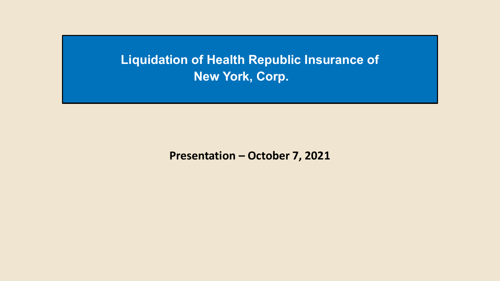**Liquidation of Health Republic Insurance of New York, Corp.**

**Presentation – October 7, 2021**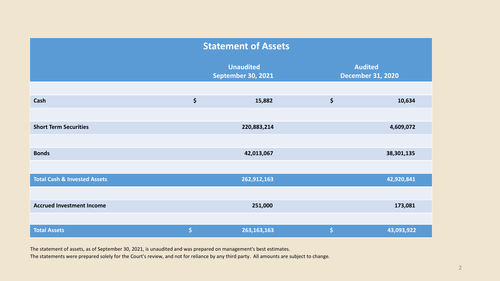| <b>Statement of Assets</b>              |                    |                                               |                                  |                                            |  |  |  |
|-----------------------------------------|--------------------|-----------------------------------------------|----------------------------------|--------------------------------------------|--|--|--|
|                                         |                    | <b>Unaudited</b><br><b>September 30, 2021</b> |                                  | <b>Audited</b><br><b>December 31, 2020</b> |  |  |  |
|                                         |                    |                                               |                                  |                                            |  |  |  |
| Cash                                    | \$                 | 15,882                                        | \$                               | 10,634                                     |  |  |  |
|                                         |                    |                                               |                                  |                                            |  |  |  |
| <b>Short Term Securities</b>            |                    | 220,883,214                                   |                                  | 4,609,072                                  |  |  |  |
|                                         |                    |                                               |                                  |                                            |  |  |  |
| <b>Bonds</b>                            |                    | 42,013,067                                    |                                  | 38, 301, 135                               |  |  |  |
|                                         |                    |                                               |                                  |                                            |  |  |  |
| <b>Total Cash &amp; Invested Assets</b> |                    | 262,912,163                                   |                                  | 42,920,841                                 |  |  |  |
|                                         |                    |                                               |                                  |                                            |  |  |  |
| <b>Accrued Investment Income</b>        |                    | 251,000                                       |                                  | 173,081                                    |  |  |  |
|                                         |                    |                                               |                                  |                                            |  |  |  |
| <b>Total Assets</b>                     | $\dot{\mathsf{S}}$ | 263, 163, 163                                 | $\vert \boldsymbol{\zeta} \vert$ | 43,093,922                                 |  |  |  |

The statement of assets, as of September 30, 2021, is unaudited and was prepared on management's best estimates.

The statements were prepared solely for the Court's review, and not for reliance by any third party. All amounts are subject to change.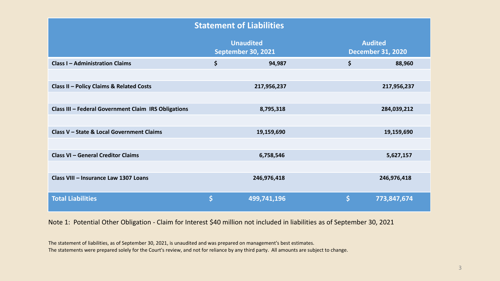| <b>Statement of Liabilities</b>                      |                                               |             |                                            |             |  |  |  |
|------------------------------------------------------|-----------------------------------------------|-------------|--------------------------------------------|-------------|--|--|--|
|                                                      | <b>Unaudited</b><br><b>September 30, 2021</b> |             | <b>Audited</b><br><b>December 31, 2020</b> |             |  |  |  |
| <b>Class I - Administration Claims</b>               | \$                                            | 94,987      | \$                                         | 88,960      |  |  |  |
|                                                      |                                               |             |                                            |             |  |  |  |
| Class II - Policy Claims & Related Costs             |                                               | 217,956,237 |                                            | 217,956,237 |  |  |  |
|                                                      |                                               |             |                                            |             |  |  |  |
| Class III - Federal Government Claim IRS Obligations |                                               | 8,795,318   |                                            | 284,039,212 |  |  |  |
|                                                      |                                               |             |                                            |             |  |  |  |
| Class V - State & Local Government Claims            |                                               | 19,159,690  |                                            | 19,159,690  |  |  |  |
|                                                      |                                               |             |                                            |             |  |  |  |
| <b>Class VI - General Creditor Claims</b>            |                                               | 6,758,546   |                                            | 5,627,157   |  |  |  |
|                                                      |                                               |             |                                            |             |  |  |  |
| Class VIII - Insurance Law 1307 Loans                |                                               | 246,976,418 |                                            | 246,976,418 |  |  |  |
| <b>Total Liabilities</b>                             | \$                                            | 499,741,196 | $\mathsf{\dot{S}}$                         | 773,847,674 |  |  |  |

Note 1: Potential Other Obligation - Claim for Interest \$40 million not included in liabilities as of September 30, 2021

The statement of liabilities, as of September 30, 2021, is unaudited and was prepared on management's best estimates. The statements were prepared solely for the Court's review, and not for reliance by any third party. All amounts are subject to change.